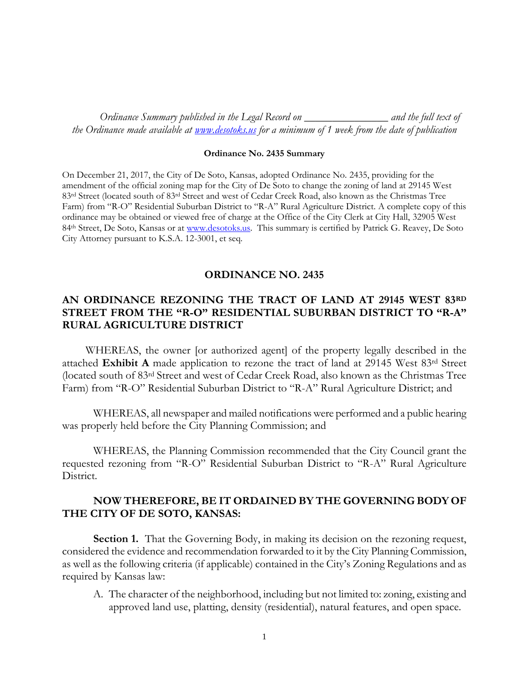*Ordinance Summary published in the Legal Record on \_\_\_\_\_\_\_\_\_\_\_\_\_\_\_ and the full text of the Ordinance made available at [www.desotoks.us](http://www.desotoks.us/) for a minimum of 1 week from the date of publication*

## **Ordinance No. 2435 Summary**

On December 21, 2017, the City of De Soto, Kansas, adopted Ordinance No. 2435, providing for the amendment of the official zoning map for the City of De Soto to change the zoning of land at 29145 West 83rd Street (located south of 83rd Street and west of Cedar Creek Road, also known as the Christmas Tree Farm) from "R-O" Residential Suburban District to "R-A" Rural Agriculture District. A complete copy of this ordinance may be obtained or viewed free of charge at the Office of the City Clerk at City Hall, 32905 West 84th Street, De Soto, Kansas or at [www.desotoks.us.](http://www.desotoks.us/) This summary is certified by Patrick G. Reavey, De Soto City Attorney pursuant to K.S.A. 12-3001, et seq.

## **ORDINANCE NO. 2435**

## **AN ORDINANCE REZONING THE TRACT OF LAND AT 29145 WEST 83RD STREET FROM THE "R-O" RESIDENTIAL SUBURBAN DISTRICT TO "R-A" RURAL AGRICULTURE DISTRICT**

WHEREAS, the owner [or authorized agent] of the property legally described in the attached **Exhibit A** made application to rezone the tract of land at 29145 West 83rd Street (located south of 83rd Street and west of Cedar Creek Road, also known as the Christmas Tree Farm) from "R-O" Residential Suburban District to "R-A" Rural Agriculture District; and

WHEREAS, all newspaper and mailed notifications were performed and a public hearing was properly held before the City Planning Commission; and

WHEREAS, the Planning Commission recommended that the City Council grant the requested rezoning from "R-O" Residential Suburban District to "R-A" Rural Agriculture District.

## **NOW THEREFORE, BE IT ORDAINED BY THE GOVERNING BODY OF THE CITY OF DE SOTO, KANSAS:**

**Section 1.** That the Governing Body, in making its decision on the rezoning request, considered the evidence and recommendation forwarded to it by the City Planning Commission, as well as the following criteria (if applicable) contained in the City's Zoning Regulations and as required by Kansas law:

A. The character of the neighborhood, including but not limited to: zoning, existing and approved land use, platting, density (residential), natural features, and open space.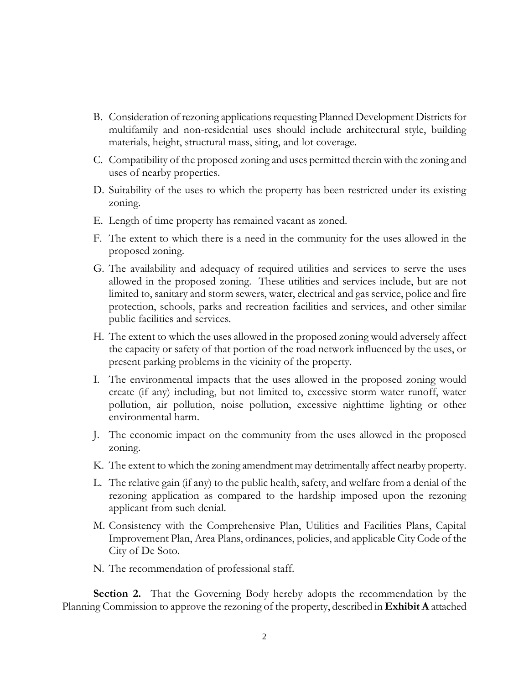- B. Consideration of rezoning applications requesting Planned Development Districts for multifamily and non-residential uses should include architectural style, building materials, height, structural mass, siting, and lot coverage.
- C. Compatibility of the proposed zoning and uses permitted therein with the zoning and uses of nearby properties.
- D. Suitability of the uses to which the property has been restricted under its existing zoning.
- E. Length of time property has remained vacant as zoned.
- F. The extent to which there is a need in the community for the uses allowed in the proposed zoning.
- G. The availability and adequacy of required utilities and services to serve the uses allowed in the proposed zoning. These utilities and services include, but are not limited to, sanitary and storm sewers, water, electrical and gas service, police and fire protection, schools, parks and recreation facilities and services, and other similar public facilities and services.
- H. The extent to which the uses allowed in the proposed zoning would adversely affect the capacity or safety of that portion of the road network influenced by the uses, or present parking problems in the vicinity of the property.
- I. The environmental impacts that the uses allowed in the proposed zoning would create (if any) including, but not limited to, excessive storm water runoff, water pollution, air pollution, noise pollution, excessive nighttime lighting or other environmental harm.
- J. The economic impact on the community from the uses allowed in the proposed zoning.
- K. The extent to which the zoning amendment may detrimentally affect nearby property.
- L. The relative gain (if any) to the public health, safety, and welfare from a denial of the rezoning application as compared to the hardship imposed upon the rezoning applicant from such denial.
- M. Consistency with the Comprehensive Plan, Utilities and Facilities Plans, Capital Improvement Plan, Area Plans, ordinances, policies, and applicable City Code of the City of De Soto.
- N. The recommendation of professional staff.

**Section 2.** That the Governing Body hereby adopts the recommendation by the Planning Commission to approve the rezoning of the property, described in **Exhibit A** attached